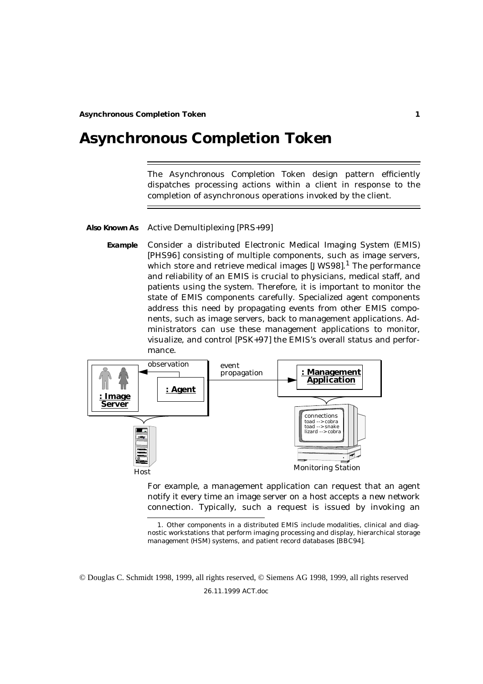# **Asynchronous Completion Token**

The *Asynchronous Completion Token* design pattern efficiently dispatches processing actions within a client in response to the completion of asynchronous operations invoked by the client.

#### **Also Known As** Active Demultiplexing [PRS+99]

**Example** Consider a distributed Electronic Medical Imaging System (EMIS) [PHS96] consisting of multiple components, such as *image servers*, which store and retrieve medical images  $[JWS98]$ .<sup>1</sup> The performance and reliability of an EMIS is crucial to physicians, medical staff, and patients using the system. Therefore, it is important to monitor the state of EMIS components carefully. Specialized agent components address this need by propagating events from other EMIS components, such as image servers, back to management applications. Administrators can use these management applications to monitor, visualize, and control [PSK+97] the EMIS's overall status and performance.



For example, a management application can request that an agent notify it every time an image server on a host accepts a new network connection. Typically, such a request is issued by invoking an

© Douglas C. Schmidt 1998, 1999, all rights reserved, © Siemens AG 1998, 1999, all rights reserved

<sup>1.</sup> Other components in a distributed EMIS include modalities, clinical and diagnostic workstations that perform imaging processing and display, hierarchical storage management (HSM) systems, and patient record databases [BBC94].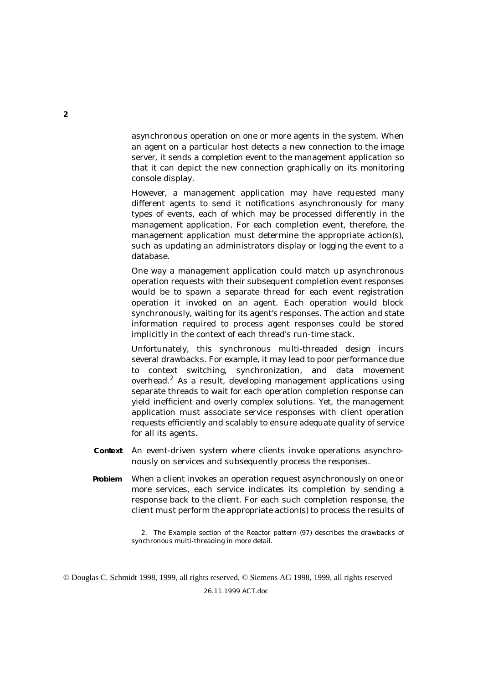asynchronous operation on one or more agents in the system. When an agent on a particular host detects a new connection to the image server, it sends a *completion event* to the management application so that it can depict the new connection graphically on its monitoring console display.

However, a management application may have requested many different agents to send it notifications asynchronously for many types of events, each of which may be processed differently in the management application. For each completion event, therefore, the management application must determine the appropriate action(s), such as updating an administrators display or logging the event to a database.

One way a management application could match up asynchronous operation requests with their subsequent completion event responses would be to spawn a separate thread for each event registration operation it invoked on an agent. Each operation would block synchronously, waiting for its agent's responses. The action and state information required to process agent responses could be stored implicitly in the context of each thread's run-time stack.

Unfortunately, this synchronous multi-threaded design incurs several drawbacks. For example, it may lead to poor performance due to context switching, synchronization, and data movement overhead.2 As a result, developing management applications using separate threads to wait for each operation completion response can yield inefficient and overly complex solutions. Yet, the management application must associate service responses with client operation requests efficiently and scalably to ensure adequate quality of service for all its agents.

- **Context** An event-driven system where clients invoke operations asynchronously on services and subsequently process the responses.
- **Problem** When a client invokes an operation request asynchronously on one or more services, each service indicates its completion by sending a response back to the client. For each such completion response, the client must perform the appropriate action(s) to process the results of

<sup>2.</sup> The Example section of the Reactor pattern (97) describes the drawbacks of synchronous multi-threading in more detail.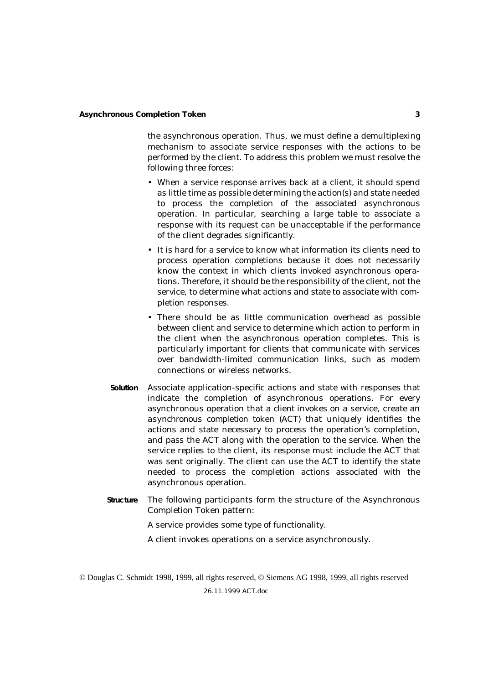the asynchronous operation. Thus, we must define a demultiplexing mechanism to associate service responses with the actions to be performed by the client. To address this problem we must resolve the following three *forces*:

- When a service response arrives back at a client, it should spend as little time as possible determining the action(s) and state needed to process the completion of the associated asynchronous operation. In particular, searching a large table to associate a response with its request can be unacceptable if the performance of the client degrades significantly.
- It is hard for a service to know what information its clients need to process operation completions because it does not necessarily know the context in which clients invoked asynchronous operations. Therefore, it should be the responsibility of the client, not the service, to determine what actions and state to associate with completion responses.
- There should be as little communication overhead as possible between client and service to determine which action to perform in the client when the asynchronous operation completes. This is particularly important for clients that communicate with services over bandwidth-limited communication links, such as modem connections or wireless networks.
- **Solution** Associate application-specific actions and state with responses that indicate the completion of asynchronous operations. For every asynchronous operation that a *client* invokes on a *service*, create an *asynchronous completion token* (ACT) that uniquely identifies the actions and state necessary to process the operation's completion, and pass the ACT along with the operation to the service. When the service replies to the client, its response must include the ACT that was sent originally. The client can use the ACT to identify the state needed to process the completion actions associated with the asynchronous operation.
- **Structure** The following participants form the structure of the Asynchronous Completion Token pattern:
	- A *service* provides some type of functionality.
	- A *client* invokes operations on a service asynchronously.

<sup>26.11.1999</sup> ACT.doc © Douglas C. Schmidt 1998, 1999, all rights reserved, © Siemens AG 1998, 1999, all rights reserved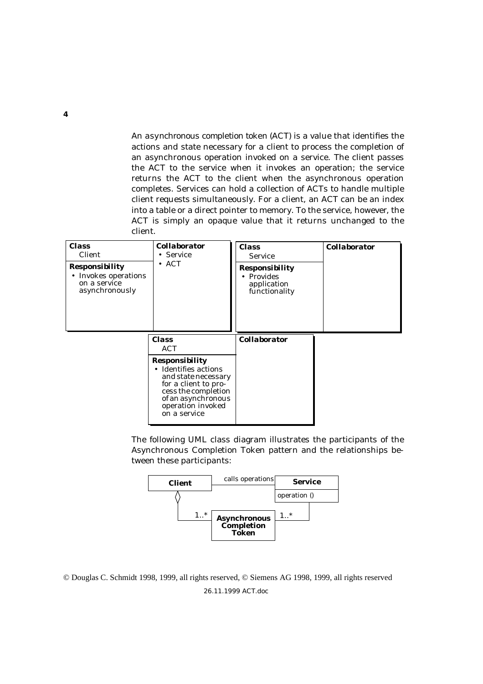An *asynchronous completion token* (ACT) is a value that identifies the actions and state necessary for a client to process the completion of an asynchronous operation invoked on a service. The client passes the ACT to the service when it invokes an operation; the service returns the ACT to the client when the asynchronous operation completes. Services can hold a collection of ACTs to handle multiple client requests simultaneously. For a client, an ACT can be an index into a table or a direct pointer to memory. To the service, however, the ACT is simply an opaque value that it returns unchanged to the client.

| <b>Class</b><br>Client<br><b>Responsibility</b><br>• Invokes operations<br>on a service<br>asynchronously | <b>Collaborator</b><br>• Service<br>$\bullet$ ACT                                                                                                                              | <b>Class</b><br><b>Service</b><br><b>Responsibility</b><br>Provides<br>$\bullet$<br>application<br>functionality | <b>Collaborator</b> |
|-----------------------------------------------------------------------------------------------------------|--------------------------------------------------------------------------------------------------------------------------------------------------------------------------------|------------------------------------------------------------------------------------------------------------------|---------------------|
|                                                                                                           | <b>Class</b><br><b>ACT</b>                                                                                                                                                     | <b>Collaborator</b>                                                                                              |                     |
|                                                                                                           | <b>Responsibility</b><br>• Identifies actions<br>and state necessary<br>for a client to pro-<br>cess the completion<br>of an asynchronous<br>operation invoked<br>on a service |                                                                                                                  |                     |

The following UML class diagram illustrates the participants of the Asynchronous Completion Token pattern and the relationships between these participants:



© Douglas C. Schmidt 1998, 1999, all rights reserved, © Siemens AG 1998, 1999, all rights reserved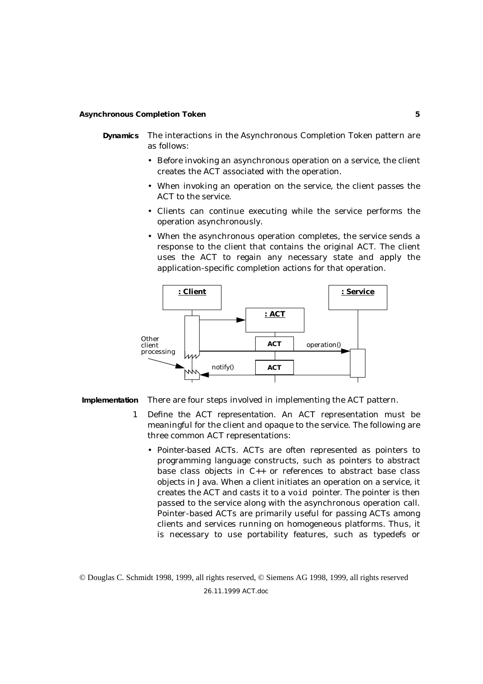- **Dynamics** The interactions in the Asynchronous Completion Token pattern are as follows:
	- Before invoking an asynchronous operation on a service, the client creates the ACT associated with the operation.
	- When invoking an operation on the service, the client passes the ACT to the service.
	- Clients can continue executing while the service performs the operation asynchronously.
	- When the asynchronous operation completes, the service sends a response to the client that contains the original ACT. The client uses the ACT to regain any necessary state and apply the application-specific completion actions for that operation.



**Implementation** There are four steps involved in implementing the ACT pattern.

- 1 *Define the ACT representation*. An ACT representation must be meaningful for the client and opaque to the service. The following are three common ACT representations:
	- *Pointer-based ACTs*. ACTs are often represented as pointers to programming language constructs, such as pointers to abstract base class objects in C++ or references to abstract base class objects in Java. When a client initiates an operation on a service, it creates the ACT and casts it to a void pointer. The pointer is then passed to the service along with the asynchronous operation call. Pointer-based ACTs are primarily useful for passing ACTs among clients and services running on homogeneous platforms. Thus, it is necessary to use portability features, such as typedefs or

© Douglas C. Schmidt 1998, 1999, all rights reserved, © Siemens AG 1998, 1999, all rights reserved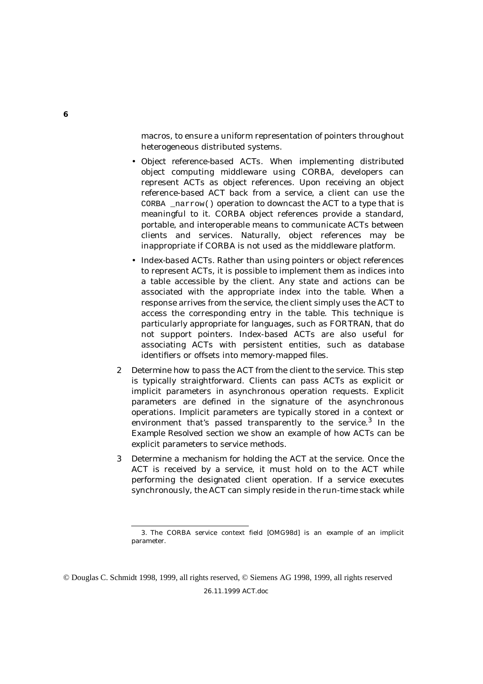macros, to ensure a uniform representation of pointers throughout heterogeneous distributed systems.

- *Object reference-based ACTs*. When implementing distributed object computing middleware using CORBA, developers can represent ACTs as object references. Upon receiving an object reference-based ACT back from a service, a client can use the CORBA \_narrow() operation to downcast the ACT to a type that is meaningful to it. CORBA object references provide a standard, portable, and interoperable means to communicate ACTs between clients and services. Naturally, object references may be inappropriate if CORBA is not used as the middleware platform.
- *Index-based ACTs.* Rather than using pointers or object references to represent ACTs, it is possible to implement them as indices into a table accessible by the client. Any state and actions can be associated with the appropriate index into the table. When a response arrives from the service, the client simply uses the ACT to access the corresponding entry in the table. This technique is particularly appropriate for languages, such as FORTRAN, that do not support pointers. Index-based ACTs are also useful for associating ACTs with persistent entities, such as database identifiers or offsets into memory-mapped files.
- 2 *Determine how to pass the ACT from the client to the service*. This step is typically straightforward. Clients can pass ACTs as explicit or implicit parameters in asynchronous operation requests. Explicit parameters are defined in the signature of the asynchronous operations. Implicit parameters are typically stored in a context or environment that's passed transparently to the service.<sup>3</sup> In the *Example Resolved* section we show an example of how ACTs can be explicit parameters to service methods.
- 3 *Determine a mechanism for holding the ACT at the service*. Once the ACT is received by a service, it must hold on to the ACT while performing the designated client operation. If a service executes synchronously, the ACT can simply reside in the run-time stack while

<sup>3.</sup> The CORBA service context field [OMG98d] is an example of an implicit parameter.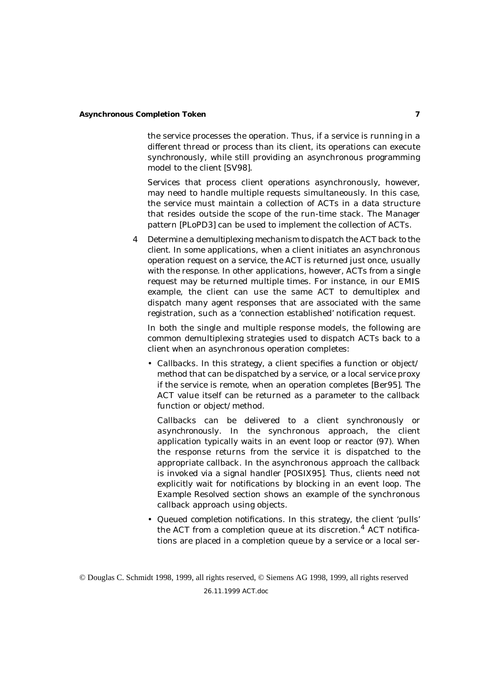the service processes the operation. Thus, if a service is running in a different thread or process than its client, its operations can execute *synchronously*, while still providing an asynchronous programming model to the client [SV98].

Services that process client operations asynchronously, however, may need to handle multiple requests simultaneously. In this case, the service must maintain a collection of ACTs in a data structure that resides outside the scope of the run-time stack. The Manager pattern [PLoPD3] can be used to implement the collection of ACTs.

4 *Determine a demultiplexing mechanism to dispatch the ACT back to the client*. In some applications, when a client initiates an asynchronous operation request on a service, the ACT is returned just once, usually with the response. In other applications, however, ACTs from a single request may be returned multiple times. For instance, in our EMIS example, the client can use the same ACT to demultiplex and dispatch many agent responses that are associated with the same registration, such as a 'connection established' notification request.

In both the single and multiple response models, the following are common demultiplexing strategies used to dispatch ACTs back to a client when an asynchronous operation completes:

• *Callbacks*. In this strategy, a client specifies a function or object/ method that can be dispatched by a service, or a local service proxy if the service is remote, when an operation completes [Ber95]. The ACT value itself can be returned as a parameter to the callback function or object/method.

Callbacks can be delivered to a client *synchronously* or *asynchronously*. In the synchronous approach, the client application typically waits in an event loop or reactor (97). When the response returns from the service it is dispatched to the appropriate callback. In the asynchronous approach the callback is invoked via a signal handler [POSIX95]. Thus, clients need not explicitly wait for notifications by blocking in an event loop. The *Example Resolved* section shows an example of the synchronous callback approach using objects.

• *Queued completion notifications*. In this strategy, the client 'pulls' the ACT from a completion queue at its discretion.<sup>4</sup> ACT notifications are placed in a completion queue by a service or a local ser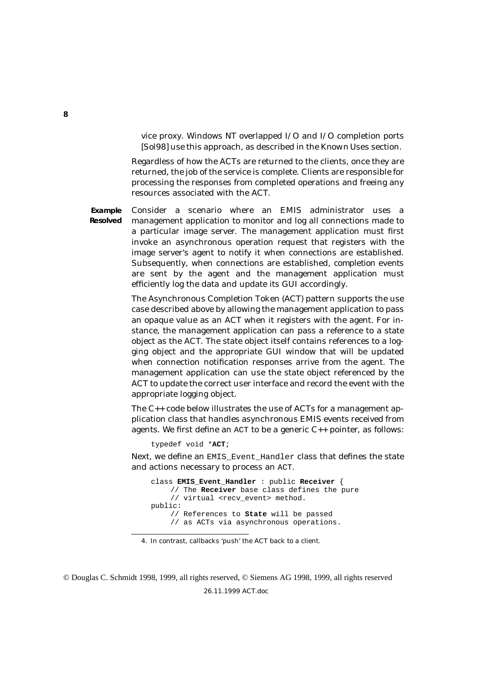vice proxy. Windows NT overlapped I/O and I/O completion ports [Sol98] use this approach, as described in the *Known Uses* section.

Regardless of how the ACTs are returned to the clients, once they are returned, the job of the service is complete. Clients are responsible for processing the responses from completed operations and freeing any resources associated with the ACT.

**Example Resolved**

Consider a scenario where an EMIS administrator uses a management application to monitor and log all connections made to a particular image server. The management application must first invoke an asynchronous operation request that registers with the image server's agent to notify it when connections are established. Subsequently, when connections are established, *completion events* are sent by the agent and the management application must efficiently log the data and update its GUI accordingly.

The Asynchronous Completion Token (ACT) pattern supports the use case described above by allowing the management application to pass an opaque value as an ACT when it registers with the agent. For instance, the management application can pass a reference to a state object as the ACT. The state object itself contains references to a logging object and the appropriate GUI window that will be updated when connection notification responses arrive from the agent. The management application can use the state object referenced by the ACT to update the correct user interface and record the event with the appropriate logging object.

The C++ code below illustrates the use of ACTs for a management application class that handles asynchronous EMIS events received from agents. We first define an  $ACT$  to be a generic  $C_{++}$  pointer, as follows:

typedef void \***ACT**;

Next, we define an EMIS\_Event\_Handler class that defines the state and actions necessary to process an ACT.

```
class EMIS_Event_Handler : public Receiver {
    // The Receiver base class defines the pure
    // virtual <recv_event> method.
public:
    // References to State will be passed
    // as ACTs via asynchronous operations.
```
<sup>4.</sup> In contrast, callbacks 'push' the ACT back to a client.

<sup>©</sup> Douglas C. Schmidt 1998, 1999, all rights reserved, © Siemens AG 1998, 1999, all rights reserved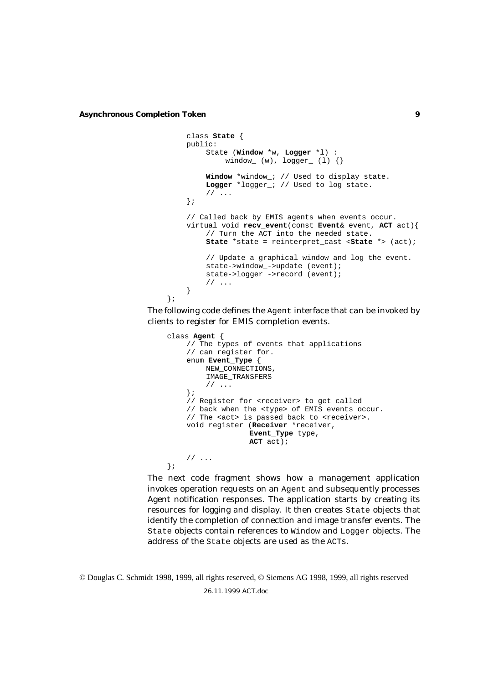```
class State {
    public:
        State (Window *w, Logger *l) :
             window_ (w), logger_ (1) \{\}\Window *window_; // Used to display state.
        Logger *logger; // Used to log state.
         1/ ...
    };
    // Called back by EMIS agents when events occur.
    virtual void recv_event(const Event& event, ACT act){
         // Turn the ACT into the needed state.
        State *state = reinterpret_cast <State *> (act);
         // Update a graphical window and log the event.
        state->window_->update (event);
        state->logger_->record (event);
         11...}
};
```
The following code defines the Agent interface that can be invoked by clients to register for EMIS completion events.

```
class Agent {
    // The types of events that applications
    // can register for.
    enum Event_Type {
         NEW_CONNECTIONS,
         IMAGE_TRANSFERS
         // ...
    };
    // Register for <receiver> to get called
    // back when the <type> of EMIS events occur.
    // The <act> is passed back to <receiver>.
    void register (Receiver *receiver,
                   Event_Type type,
                   ACT act);
    // ...
};
```
The next code fragment shows how a management application invokes operation requests on an Agent and subsequently processes Agent notification responses. The application starts by creating its resources for logging and display. It then creates State objects that identify the completion of connection and image transfer events. The State objects contain references to Window and Logger objects. The address of the State objects are used as the ACTs.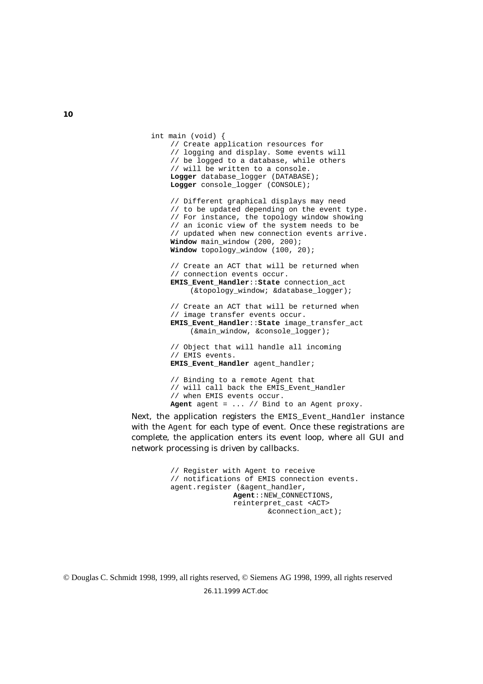```
int main (void) {
    // Create application resources for
    // logging and display. Some events will
    // be logged to a database, while others
    // will be written to a console.
    Logger database_logger (DATABASE);
    Logger console logger (CONSOLE);
    // Different graphical displays may need
    // to be updated depending on the event type.
    // For instance, the topology window showing
    // an iconic view of the system needs to be
    // updated when new connection events arrive.
    Window main window (200, 200);
    Window topology_window (100, 20);
    // Create an ACT that will be returned when
    // connection events occur.
    EMIS_Event_Handler::State connection_act
         (&topology_window; &database_logger);
    // Create an ACT that will be returned when
    // image transfer events occur.
    EMIS_Event_Handler::State image_transfer_act
         (&main_window, &console_logger);
    // Object that will handle all incoming
    // EMIS events.
    EMIS_Event_Handler agent_handler;
    // Binding to a remote Agent that
```
// will call back the EMIS\_Event\_Handler // when EMIS events occur. **Agent** agent = ... // Bind to an Agent proxy.

Next, the application registers the EMIS Event Handler instance with the Agent for each type of event. Once these registrations are complete, the application enters its event loop, where all GUI and network processing is driven by callbacks.

> // Register with Agent to receive // notifications of EMIS connection events. agent.register (&agent\_handler, **Agent**::NEW\_CONNECTIONS, reinterpret\_cast <ACT> &connection\_act);

© Douglas C. Schmidt 1998, 1999, all rights reserved, © Siemens AG 1998, 1999, all rights reserved

26.11.1999 ACT.doc

**10**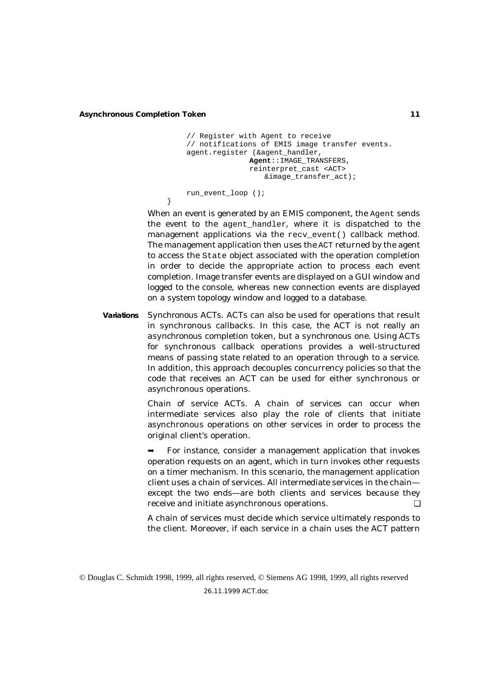}

```
// Register with Agent to receive
// notifications of EMIS image transfer events.
agent.register (&agent_handler,
              Agent::IMAGE_TRANSFERS,
               reinterpret_cast <ACT>
                  &image_transfer_act);
run event loop ();
```
When an event is generated by an EMIS component, the Agent sends the event to the agent\_handler, where it is dispatched to the management applications via the recv event() callback method. The management application then uses the ACT returned by the agent to access the State object associated with the operation completion in order to decide the appropriate action to process each event completion. Image transfer events are displayed on a GUI window and logged to the console, whereas new connection events are displayed on a system topology window and logged to a database.

**Variations** *Synchronous ACTs*. ACTs can also be used for operations that result in synchronous callbacks. In this case, the ACT is not really an *asynchronous* completion token, but a *synchronous* one. Using ACTs for synchronous callback operations provides a well-structured means of passing state related to an operation through to a service. In addition, this approach decouples concurrency policies so that the code that receives an ACT can be used for either synchronous or asynchronous operations.

> *Chain of service ACTs*. A chain of services can occur when intermediate services also play the role of clients that initiate asynchronous operations on other services in order to process the original client's operation.

> ➥ For instance, consider a management application that invokes operation requests on an agent, which in turn invokes other requests on a timer mechanism. In this scenario, the management application client uses a chain of services. All intermediate services in the chain except the two ends—are both clients and services because they receive and initiate asynchronous operations.

> A chain of services must decide which service ultimately responds to the client. Moreover, if each service in a chain uses the ACT pattern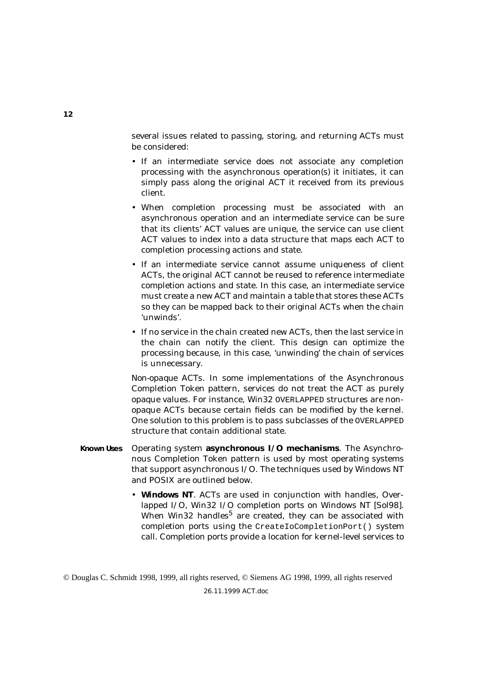several issues related to passing, storing, and returning ACTs must be considered:

- If an intermediate service does not associate any completion processing with the asynchronous operation(s) it initiates, it can simply pass along the original ACT it received from its previous client.
- When completion processing must be associated with an asynchronous operation and an intermediate service can be sure that its clients' ACT values are unique, the service can use client ACT values to index into a data structure that maps each ACT to completion processing actions and state.
- If an intermediate service cannot assume uniqueness of client ACTs, the original ACT cannot be reused to reference intermediate completion actions and state. In this case, an intermediate service must create a new ACT and maintain a table that stores these ACTs so they can be mapped back to their original ACTs when the chain 'unwinds'.
- If no service in the chain created new ACTs, then the last service in the chain can notify the client. This design can optimize the processing because, in this case, 'unwinding' the chain of services is unnecessary.

*Non-opaque ACTs*. In some implementations of the Asynchronous Completion Token pattern, services do not treat the ACT as purely opaque values. For instance, Win32 OVERLAPPED structures are nonopaque ACTs because certain fields can be modified by the kernel. One solution to this problem is to pass subclasses of the OVERLAPPED structure that contain additional state.

- **Known Uses** Operating system **asynchronous I/O mechanisms**. The Asynchronous Completion Token pattern is used by most operating systems that support asynchronous I/O. The techniques used by Windows NT and POSIX are outlined below.
	- **Windows NT**. ACTs are used in conjunction with handles, Overlapped I/O, Win32 I/O completion ports on Windows NT [Sol98]. When Win32 handles<sup>5</sup> are created, they can be associated with completion ports using the CreateIoCompletionPort() system call. Completion ports provide a location for kernel-level services to

<sup>©</sup> Douglas C. Schmidt 1998, 1999, all rights reserved, © Siemens AG 1998, 1999, all rights reserved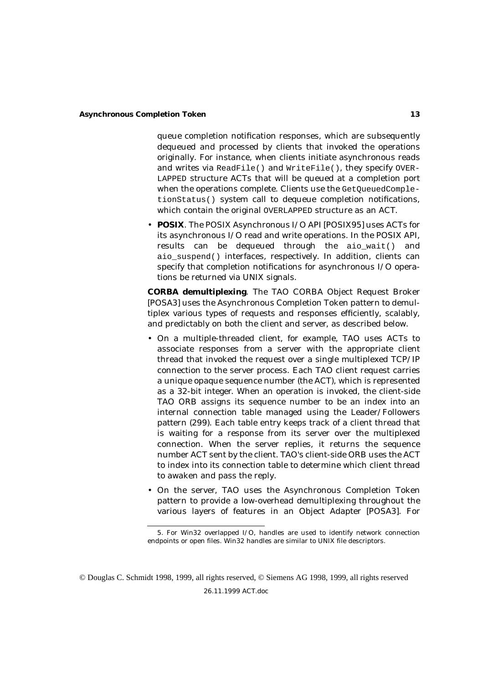queue completion notification responses, which are subsequently dequeued and processed by clients that invoked the operations originally. For instance, when clients initiate asynchronous reads and writes via ReadFile() and WriteFile(), they specify OVER-LAPPED structure ACTs that will be queued at a completion port when the operations complete. Clients use the GetOueuedCompletionStatus() system call to dequeue completion notifications, which contain the original OVERLAPPED structure as an ACT.

• **POSIX**. The POSIX Asynchronous I/O API [POSIX95] uses ACTs for its asynchronous I/O read and write operations. In the POSIX API, results can be dequeued through the aio wait() and aio suspend() interfaces, respectively. In addition, clients can specify that completion notifications for asynchronous I/O operations be returned via UNIX signals.

**CORBA demultiplexing**. The TAO CORBA Object Request Broker [POSA3] uses the Asynchronous Completion Token pattern to demultiplex various types of requests and responses efficiently, scalably, and predictably on both the client and server, as described below.

- On a multiple-threaded client, for example, TAO uses ACTs to associate responses from a server with the appropriate client thread that invoked the request over a single multiplexed TCP/IP connection to the server process. Each TAO client request carries a unique opaque sequence number (the ACT), which is represented as a 32-bit integer. When an operation is invoked, the client-side TAO ORB assigns its sequence number to be an index into an internal connection table managed using the Leader/Followers pattern (299). Each table entry keeps track of a client thread that is waiting for a response from its server over the multiplexed connection. When the server replies, it returns the sequence number ACT sent by the client. TAO's client-side ORB uses the ACT to index into its connection table to determine which client thread to awaken and pass the reply.
- On the server, TAO uses the Asynchronous Completion Token pattern to provide a low-overhead demultiplexing throughout the various layers of features in an Object Adapter [POSA3]. For

<sup>5.</sup> For Win32 overlapped I/O, handles are used to identify network connection endpoints or open files. Win32 handles are similar to UNIX file descriptors.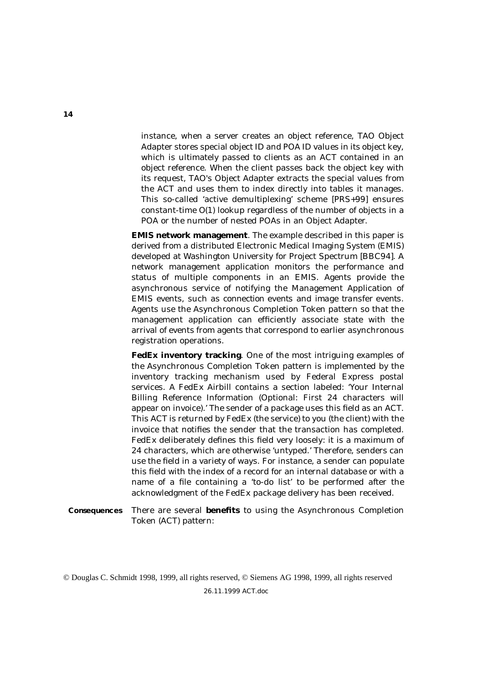instance, when a server creates an object reference, TAO Object Adapter stores special object ID and POA ID values in its object key, which is ultimately passed to clients as an ACT contained in an object reference. When the client passes back the object key with its request, TAO's Object Adapter extracts the special values from the ACT and uses them to index directly into tables it manages. This so-called 'active demultiplexing' scheme [PRS+99] ensures constant-time *O*(1) lookup regardless of the number of objects in a POA or the number of nested POAs in an Object Adapter.

**EMIS network management**. The example described in this paper is derived from a distributed Electronic Medical Imaging System (EMIS) developed at Washington University for Project Spectrum [BBC94]. A network management application monitors the performance and status of multiple components in an EMIS. Agents provide the asynchronous service of notifying the Management Application of EMIS events, such as *connection events* and *image transfer events*. Agents use the Asynchronous Completion Token pattern so that the management application can efficiently associate state with the arrival of events from agents that correspond to earlier asynchronous registration operations.

**FedEx inventory tracking**. One of the most intriguing examples of the Asynchronous Completion Token pattern is implemented by the inventory tracking mechanism used by Federal Express postal services. A FedEx Airbill contains a section labeled: 'Your Internal Billing Reference Information (Optional: First 24 characters will appear on invoice).' The sender of a package uses this field as an ACT. This ACT is returned by FedEx (the service) to you (the client) with the invoice that notifies the sender that the transaction has completed. FedEx deliberately defines this field very loosely: it is a maximum of 24 characters, which are otherwise 'untyped.' Therefore, senders can use the field in a variety of ways. For instance, a sender can populate this field with the index of a record for an internal database or with a name of a file containing a 'to-do list' to be performed after the acknowledgment of the FedEx package delivery has been received.

**Consequences** There are several **benefits** to using the Asynchronous Completion Token (ACT) pattern:

© Douglas C. Schmidt 1998, 1999, all rights reserved, © Siemens AG 1998, 1999, all rights reserved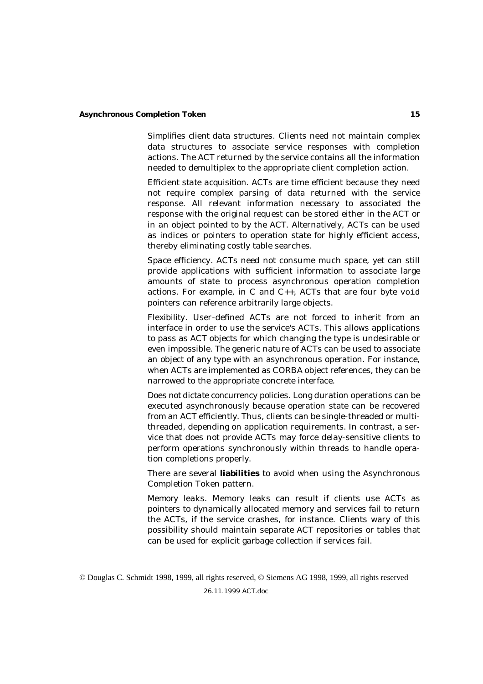*Simplifies client data structures*. Clients need not maintain complex data structures to associate service responses with completion actions. The ACT returned by the service contains all the information needed to demultiplex to the appropriate client completion action.

*Efficient state acquisition*. ACTs are time efficient because they need not require complex parsing of data returned with the service response. All relevant information necessary to associated the response with the original request can be stored either in the ACT or in an object pointed to by the ACT. Alternatively, ACTs can be used as indices or pointers to operation state for highly efficient access, thereby eliminating costly table searches.

*Space efficiency*. ACTs need not consume much space, yet can still provide applications with sufficient information to associate large amounts of state to process asynchronous operation completion actions. For example, in C and C++, ACTs that are four byte void pointers can reference arbitrarily large objects.

*Flexibility*. User-defined ACTs are not forced to inherit from an interface in order to use the service's ACTs. This allows applications to pass as ACT objects for which changing the type is undesirable or even impossible. The generic nature of ACTs can be used to associate an object of any type with an asynchronous operation. For instance, when ACTs are implemented as CORBA object references, they can be narrowed to the appropriate concrete interface.

*Does not dictate concurrency policies*. Long duration operations can be executed asynchronously because operation state can be recovered from an ACT efficiently. Thus, clients can be single-threaded or multithreaded, depending on application requirements. In contrast, a service that does not provide ACTs may force delay-sensitive clients to perform operations synchronously within threads to handle operation completions properly.

There are several **liabilities** to avoid when using the Asynchronous Completion Token pattern.

*Memory leaks*. Memory leaks can result if clients use ACTs as pointers to dynamically allocated memory and services fail to return the ACTs, if the service crashes, for instance. Clients wary of this possibility should maintain separate ACT repositories or tables that can be used for explicit garbage collection if services fail.